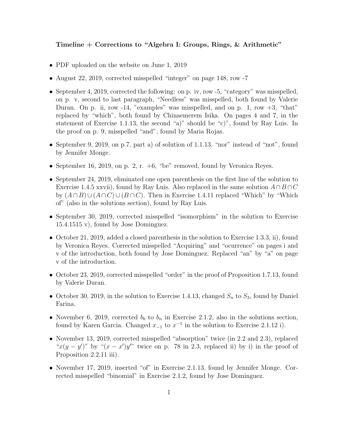## Timeline + Corrections to "Algebra I: Groups, Rings, & Arithmetic"

- PDF uploaded on the website on June 1, 2019
- August 22, 2019, corrected misspelled "integer" on page 148, row -7
- September 4, 2019, corrected the following: on p. iv, row -5, "category" was misspelled, on p. v, second to last paragraph, "Needless" was misspelled, both found by Valerie Duran. On p. ii, row  $-14$ , "examples" was misspelled, and on p. 1, row  $+3$ , "that" replaced by "which", both found by Chinaemerem Isika. On pages 4 and 7, in the statement of Exercise 1.1.13, the second "a)" should be "c)", found by Ray Luis. In the proof on p. 9, misspelled "and", found by Maria Rojas.
- September 9, 2019, on p.7, part a) of solution of 1.1.13, "nor" instead of "not", found by Jennifer Monge.
- September 16, 2019, on p. 2, r.  $+6$ , "be" removed, found by Veronica Reyes.
- September 24, 2019, eliminated one open parenthesis on the first line of the solution to Exercise 1.4.5 xxvii), found by Ray Luis. Also replaced in the same solution  $A \cap B \cap C$ by  $(A \cap B) \cup (A \cap C) \cup (B \cap C)$ . Then in Exercise 1.4.11 replaced "Which" by "Which" of" (also in the solutions section), found by Ray Luis.
- September 30, 2019, corrected misspelled "isomorphism" in the solution to Exercise 15.4.1515 v), found by Jose Dominguez.
- October 21, 2019, added a closed parenthesis in the solution to Exercise 1.3.3, ii), found by Veronica Reyes. Corrected misspelled "Acquiring" and "ocurrence" on pages i and v of the introduction, both found by Jose Dominguez. Replaced "an" by "a" on page v of the introduction.
- October 23, 2019, corrected misspelled "order" in the proof of Proposition 1.7.13, found by Valerie Duran.
- October 30, 2019, in the solution to Exercise 1.4.13, changed  $S_n$  to  $S_3$ , found by Daniel Farina.
- November 6, 2019, corrected  $b<sub>b</sub>$  to  $b<sub>n</sub>$  in Exercise 2.1.2, also in the solutions section, found by Karen Garcia. Changed  $x_{-1}$  to  $x^{-1}$  in the solution to Exercise 2.1.12 i).
- November 13, 2019, corrected misspelled "absorption" twice (in 2.2 and 2.3), replaced " $x(y-y')$ " by " $(x-x')y''$  twice on p. 78 in 2.3, replaced ii) by i) in the proof of Proposition 2.2.11 iii).
- November 17, 2019, inserted "of" in Exercise 2.1.13, found by Jennifer Monge. Corrected misspelled "binomial" in Exercise 2.1.2, found by Jose Dominguez.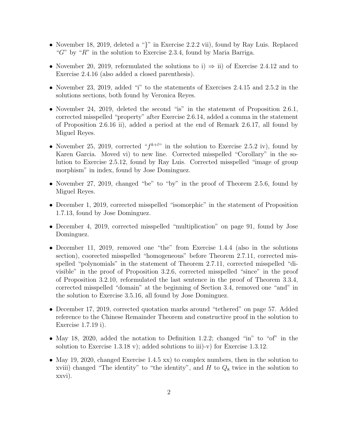- November 18, 2019, deleted a "}" in Exercise 2.2.2 vii), found by Ray Luis. Replaced " $G$ " by " $R$ " in the solution to Exercise 2.3.4, found by Maria Barriga.
- November 20, 2019, reformulated the solutions to i)  $\Rightarrow$  ii) of Exercise 2.4.12 and to Exercise 2.4.16 (also added a closed parenthesis).
- November 23, 2019, added "i" to the statements of Exercises 2.4.15 and 2.5.2 in the solutions sections, both found by Veronica Reyes.
- November 24, 2019, deleted the second "is" in the statement of Proposition 2.6.1, corrected misspelled "property" after Exercise 2.6.14, added a comma in the statement of Proposition 2.6.16 ii), added a period at the end of Remark 2.6.17, all found by Miguel Reyes.
- November 25, 2019, corrected " $f^{k+l}$ " in the solution to Exercise 2.5.2 iv), found by Karen Garcia. Moved vi) to new line. Corrected misspelled "Corollary" in the solution to Exercise 2.5.12, found by Ray Luis. Corrected misspelled "image of group morphism" in index, found by Jose Dominguez.
- November 27, 2019, changed "be" to "by" in the proof of Theorem 2.5.6, found by Miguel Reyes.
- December 1, 2019, corrected misspelled "isomorphic" in the statement of Proposition 1.7.13, found by Jose Dominguez.
- December 4, 2019, corrected misspelled "multiplication" on page 91, found by Jose Dominguez.
- December 11, 2019, removed one "the" from Exercise 1.4.4 (also in the solutions section), coorected misspelled "homogeneous" before Theorem 2.7.11, corrected misspelled "polynomials" in the statement of Theorem 2.7.11, corrected misspelled "divisible" in the proof of Proposition 3.2.6, corrected misspelled "since" in the proof of Proposition 3.2.10, reformulated the last sentence in the proof of Theorem 3.3.4, corrected misspelled "domain" at the beginning of Section 3.4, removed one "and" in the solution to Exercise 3.5.16, all found by Jose Dominguez.
- December 17, 2019, corrected quotation marks around "tethered" on page 57. Added reference to the Chinese Remainder Theorem and constructive proof in the solution to Exercise 1.7.19 i).
- May 18, 2020, added the notation to Definition 1.2.2; changed "in" to "of" in the solution to Exercise 1.3.18 v); added solutions to iii)-v) for Exercise 1.3.12.
- May 19, 2020, changed Exercise 1.4.5 xx) to complex numbers, then in the solution to xviii) changed "The identity" to "the identity", and  $H$  to  $Q_8$  twice in the solution to xxvi).